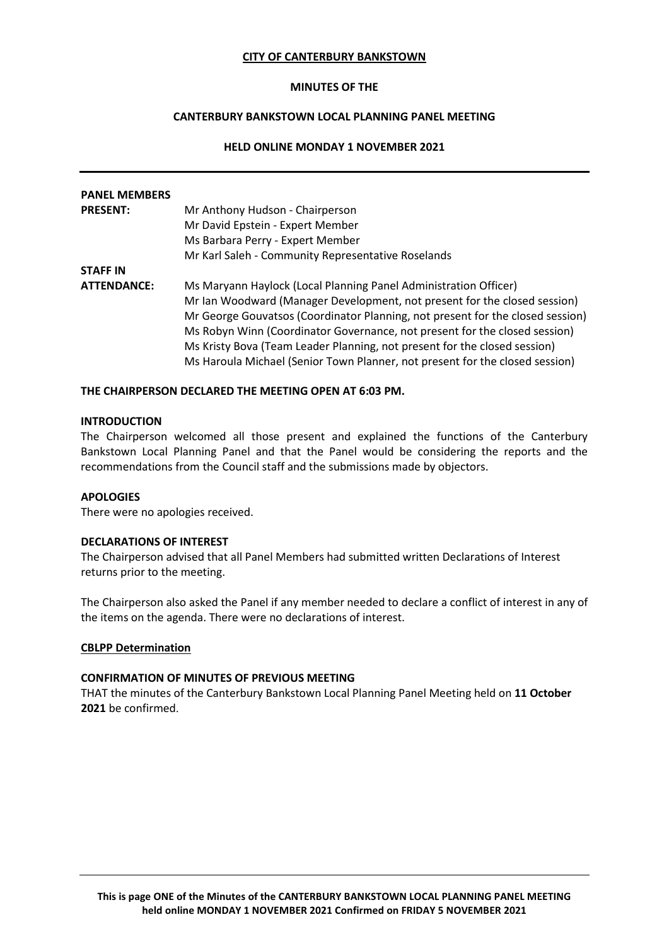## **CITY OF CANTERBURY BANKSTOWN**

### **MINUTES OF THE**

# **CANTERBURY BANKSTOWN LOCAL PLANNING PANEL MEETING**

## **HELD ONLINE MONDAY 1 NOVEMBER 2021**

| <b>PANEL MEMBERS</b> |                                                                                |
|----------------------|--------------------------------------------------------------------------------|
| <b>PRESENT:</b>      | Mr Anthony Hudson - Chairperson                                                |
|                      | Mr David Epstein - Expert Member                                               |
|                      | Ms Barbara Perry - Expert Member                                               |
|                      | Mr Karl Saleh - Community Representative Roselands                             |
| <b>STAFF IN</b>      |                                                                                |
| <b>ATTENDANCE:</b>   | Ms Maryann Haylock (Local Planning Panel Administration Officer)               |
|                      | Mr Ian Woodward (Manager Development, not present for the closed session)      |
|                      | Mr George Gouvatsos (Coordinator Planning, not present for the closed session) |
|                      | Ms Robyn Winn (Coordinator Governance, not present for the closed session)     |
|                      | Ms Kristy Bova (Team Leader Planning, not present for the closed session)      |
|                      | Ms Haroula Michael (Senior Town Planner, not present for the closed session)   |

#### **THE CHAIRPERSON DECLARED THE MEETING OPEN AT 6:03 PM.**

#### **INTRODUCTION**

The Chairperson welcomed all those present and explained the functions of the Canterbury Bankstown Local Planning Panel and that the Panel would be considering the reports and the recommendations from the Council staff and the submissions made by objectors.

## **APOLOGIES**

There were no apologies received.

#### **DECLARATIONS OF INTEREST**

The Chairperson advised that all Panel Members had submitted written Declarations of Interest returns prior to the meeting.

The Chairperson also asked the Panel if any member needed to declare a conflict of interest in any of the items on the agenda. There were no declarations of interest.

#### **CBLPP Determination**

#### **CONFIRMATION OF MINUTES OF PREVIOUS MEETING**

THAT the minutes of the Canterbury Bankstown Local Planning Panel Meeting held on **11 October 2021** be confirmed.